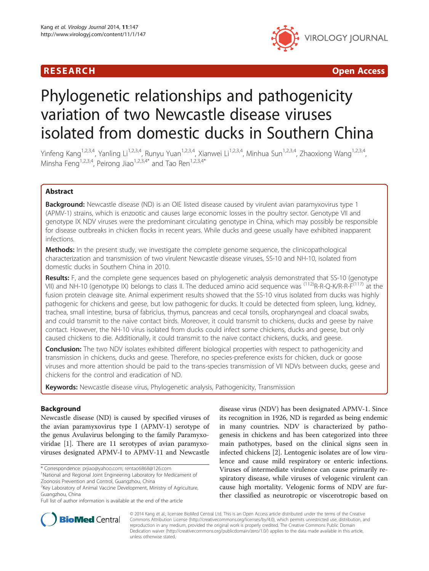# R E S EAR CH Open Access



# Phylogenetic relationships and pathogenicity variation of two Newcastle disease viruses isolated from domestic ducks in Southern China

Yinfeng Kang<sup>1,2,3,4</sup>, Yanling Li<sup>1,2,3,4</sup>, Runyu Yuan<sup>1,2,3,4</sup>, Xianwei Li<sup>1,2,3,4</sup>, Minhua Sun<sup>1,2,3,4</sup>, Zhaoxiong Wang<sup>1,2,3,4</sup>, Minsha Feng<sup>1,2,3,4</sup>, Peirong Jiao<sup>1,2,3,4\*</sup> and Tao Ren<sup>1,2,3,4\*</sup>

# Abstract

**Background:** Newcastle disease (ND) is an OIE listed disease caused by virulent avian paramyxovirus type 1 (APMV-1) strains, which is enzootic and causes large economic losses in the poultry sector. Genotype VII and genotype IX NDV viruses were the predominant circulating genotype in China, which may possibly be responsible for disease outbreaks in chicken flocks in recent years. While ducks and geese usually have exhibited inapparent infections.

Methods: In the present study, we investigate the complete genome sequence, the clinicopathological characterization and transmission of two virulent Newcastle disease viruses, SS-10 and NH-10, isolated from domestic ducks in Southern China in 2010.

Results: F, and the complete gene sequences based on phylogenetic analysis demonstrated that SS-10 (genotype VII) and NH-10 (genotype IX) belongs to class II. The deduced amino acid sequence was <sup>(112)</sup>R-R-Q-K/R-R-F<sup>(117)</sup> at the fusion protein cleavage site. Animal experiment results showed that the SS-10 virus isolated from ducks was highly pathogenic for chickens and geese, but low pathogenic for ducks. It could be detected from spleen, lung, kidney, trachea, small intestine, bursa of fabricius, thymus, pancreas and cecal tonsils, oropharyngeal and cloacal swabs, and could transmit to the naive contact birds. Moreover, it could transmit to chickens, ducks and geese by naive contact. However, the NH-10 virus isolated from ducks could infect some chickens, ducks and geese, but only caused chickens to die. Additionally, it could transmit to the naive contact chickens, ducks, and geese.

**Conclusion:** The two NDV isolates exhibited different biological properties with respect to pathogenicity and transmission in chickens, ducks and geese. Therefore, no species-preference exists for chicken, duck or goose viruses and more attention should be paid to the trans-species transmission of VII NDVs between ducks, geese and chickens for the control and eradication of ND.

Keywords: Newcastle disease virus, Phylogenetic analysis, Pathogenicity, Transmission

# Background

Newcastle disease (ND) is caused by specified viruses of the avian paramyxovirus type I (APMV-1) serotype of the genus Avulavirus belonging to the family Paramyxoviridae [[1\]](#page-11-0). There are 11 serotypes of avian paramyxoviruses designated APMV-I to APMV-11 and Newcastle

<sup>1</sup>National and Regional Joint Engineering Laboratory for Medicament of Zoonosis Prevention and Control, Guangzhou, China

Full list of author information is available at the end of the article

disease virus (NDV) has been designated APMV-1. Since its recognition in 1926, ND is regarded as being endemic in many countries. NDV is characterized by pathogenesis in chickens and has been categorized into three main pathotypes, based on the clinical signs seen in infected chickens [\[2](#page-11-0)]. Lentogenic isolates are of low virulence and cause mild respiratory or enteric infections. Viruses of intermediate virulence can cause primarily respiratory disease, while viruses of velogenic virulent can cause high mortality. Velogenic forms of NDV are further classified as neurotropic or viscerotropic based on



© 2014 Kang et al.; licensee BioMed Central Ltd. This is an Open Access article distributed under the terms of the Creative Commons Attribution License [\(http://creativecommons.org/licenses/by/4.0\)](http://creativecommons.org/licenses/by/4.0), which permits unrestricted use, distribution, and reproduction in any medium, provided the original work is properly credited. The Creative Commons Public Domain Dedication waiver [\(http://creativecommons.org/publicdomain/zero/1.0/](http://creativecommons.org/publicdomain/zero/1.0/)) applies to the data made available in this article, unless otherwise stated.

<sup>\*</sup> Correspondence: [prjiao@yahoo.com;](mailto:prjiao@yahoo.com) [rentao6868@126.com](mailto:rentao6868@126.com) <sup>1</sup>

<sup>&</sup>lt;sup>2</sup>Key Laboratory of Animal Vaccine Development, Ministry of Agriculture, Guangzhou, China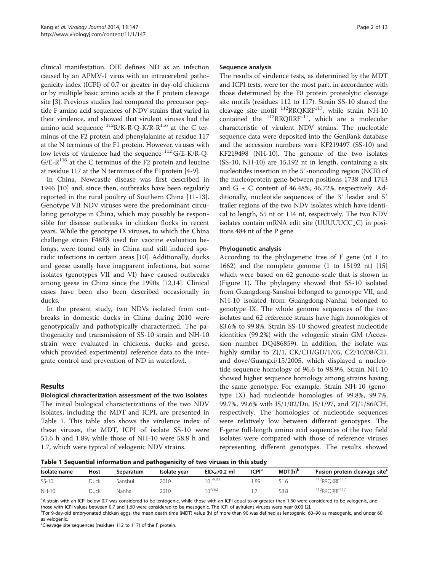clinical manifestation. OIE defines ND as an infection caused by an APMV-1 virus with an intracerebral pathogenicity index (ICPI) of 0.7 or greater in day-old chickens or by multiple basic amino acids at the F protein cleavage site [\[3\]](#page-11-0). Previous studies had compared the precursor peptide F amino acid sequences of NDV strains that varied in their virulence, and showed that virulent viruses had the amino acid sequence  $^{112}R/K-R-Q-K/R-R^{116}$  at the C terminus of the F2 protein and phenylalanine at residue 117 at the N terminus of the F1 protein. However, viruses with low levels of virulence had the sequence  $^{112}$  G/E-K/R-Q- $G/E-R^{116}$  at the C terminus of the F2 protein and leucine at residue 117 at the N terminus of the F1protein [\[4-9](#page-11-0)].

In China, Newcastle disease was first described in 1946 [[10\]](#page-11-0) and, since then, outbreaks have been regularly reported in the rural poultry of Southern China [\[11-13](#page-11-0)]. Genotype VII NDV viruses were the predominant circulating genotype in China, which may possibly be responsible for disease outbreaks in chicken flocks in recent years. While the genotype IX viruses, to which the China challenge strain F48E8 used for vaccine evaluation belongs, were found only in China and still induced sporadic infections in certain areas [[10\]](#page-11-0). Additionally, ducks and geese usually have inapparent infections, but some isolates (genotypes VII and VI) have caused outbreaks among geese in China since the 1990s [\[12,14\]](#page-11-0). Clinical cases have been also been described occasionally in ducks.

In the present study, two NDVs isolated from outbreaks in domestic ducks in China during 2010 were genotypically and pathotypically characterized. The pathogenicity and transmission of SS-10 strain and NH-10 strain were evaluated in chickens, ducks and geese, which provided experimental reference data to the integrate control and prevention of ND in waterfowl.

# Results

Biological characterization assessment of the two isolates The initial biological characterizations of the two NDV isolates, including the MDT and ICPI, are presented in Table 1. This table also shows the virulence index of these viruses, the MDT, ICPI of isolate SS-10 were 51.6 h and 1.89, while those of NH-10 were 58.8 h and 1.7, which were typical of velogenic NDV strains.

#### Sequence analysis

The results of virulence tests, as determined by the MDT and ICPI tests, were for the most part, in accordance with those determined by the F0 protein proteolytic cleavage site motifs (residues 112 to 117). Strain SS-10 shared the cleavage site motif  $^{112}$ RRQKRF<sup>117</sup>, while strain NH-10 contained the  $^{112}$ RRQRRF $^{117}$ , which are a molecular characteristic of virulent NDV strains. The nucleotide sequence data were deposited into the GenBank database and the accession numbers were KF219497 (SS-10) and KF219498 (NH-10). The genome of the two isolates (SS-10, NH-10) are 15,192 nt in length, containing a six nucleotides insertion in the 5′-noncoding region (NCR) of the nucleoprotein gene between positions 1738 and 1743 and  $G + C$  content of 46.48%, 46.72%, respectively. Additionally, nucleotide sequences of the 3′ leader and 5′ trailer regions of the two NDV isolates which have identical to length, 55 nt or 114 nt, respectively. The two NDV isolates contain mRNA edit site (UUUUUCC↓C) in positions 484 nt of the P gene.

# Phylogenetic analysis

According to the phylogenetic tree of F gene (nt 1 to 1662) and the complete genome (1 to 15192 nt) [[15](#page-11-0)] which were based on 62 genome-scale that is shown in (Figure [1\)](#page-2-0). The phylogeny showed that SS-10 isolated from Guangdong-Sanshui belonged to genotype VII, and NH-10 isolated from Guangdong-Nanhai belonged to genotype IX. The whole genome sequences of the two isolates and 62 reference strains have high homologies of 83.6% to 99.8%. Strain SS-10 showed greatest nucleotide identities (99.2%) with the velogenic strain GM (Accession number DQ486859). In addition, the isolate was highly similar to ZJ/1, CK/CH/GD/1/05, CZ/10/08/CH, and dove/Guangxi/15/2005, which displayed a nucleotide sequence homology of 96.6 to 98.9%. Strain NH-10 showed higher sequence homology among strains having the same genotype. For example, Strain NH-10 (genotype IX) had nucleotide homologies of 99.8%, 99.7%, 99.7%, 99.6% with JS/1/02/Du, JS/1/97, and ZJ/1/86/CH, respectively. The homologies of nucleotide sequences were relatively low between different genotypes. The F-gene full-length amino acid sequences of the two field isolates were compared with those of reference viruses representing different genotypes. The results showed

Table 1 Sequential information and pathogenicity of two viruses in this study

| Isolate name | Host | Separatum | Isolate vear | $EID50/0.2$ ml | ICPIª | $MDT(h)^b$ | Fusion protein cleavage site <sup>c</sup> |
|--------------|------|-----------|--------------|----------------|-------|------------|-------------------------------------------|
| $SS-10$      | Duck | Sanshui.  | 2010         | $10 - 9.83$    | .89   |            | <sup>112</sup> RROKRF <sup>117</sup>      |
| <b>NH-10</b> | Duck | Nanhai    | 2010         | $n^{-9.62}$    |       | 58.8       | <sup>112</sup> RRQRRF <sup>117</sup>      |

<sup>a</sup>A strain with an ICPI below 0.7 was considered to be lentogenic, while those with an ICPI equal to or greater than 1.60 were considered to be velogenic, and those with ICPI values between 0.7 and 1.60 were considered to be mesogenic. The ICPI of avirulent viruses were near 0.00 [\[2\]](#page-11-0).

<sup>b</sup>For 9-day-old embryonated chicken eggs, the mean death time (MDT) value (h) of more than 90 was defined as lentogenic; 60-90 as mesogenic, and under 60 as velogenic.

<sup>c</sup>Cleavage site sequences (residues 112 to 117) of the F protein.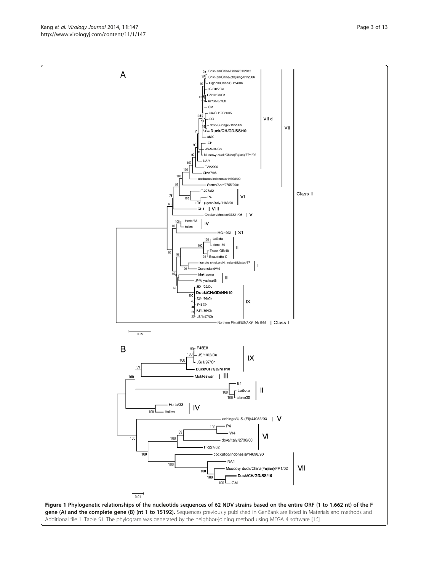Kang et al. Virology Journal 2014, 11:147 **Page 3 of 13** Page 3 of 13 http://www.virologyj.com/content/11/1/147

<span id="page-2-0"></span>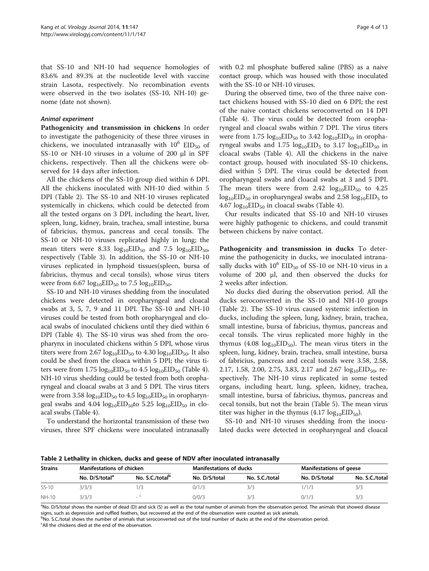<span id="page-3-0"></span>that SS-10 and NH-10 had sequence homologies of 83.6% and 89.3% at the nucleotide level with vaccine strain Lasota, respectively. No recombination events were observed in the two isolates (SS-10, NH-10) genome (date not shown).

#### Animal experiment

Pathogenicity and transmission in chickens In order to investigate the pathogenicity of these three viruses in chickens, we inoculated intranasally with  $10^6$  EID<sub>50</sub> of SS-10 or NH-10 viruses in a volume of 200 μl in SPF chickens, respectively. Then all the chickens were observed for 14 days after infection.

All the chickens of the SS-10 group died within 6 DPI. All the chickens inoculated with NH-10 died within 5 DPI (Table 2). The SS-10 and NH-10 viruses replicated systemically in chickens, which could be detected from all the tested organs on 3 DPI, including the heart, liver, spleen, lung, kidney, brain, trachea, small intestine, bursa of fabricius, thymus, pancreas and cecal tonsils. The SS-10 or NH-10 viruses replicated highly in lung; the mean titers were 8.33  $log_{10}EID_{50}$  and 7.5  $log_{10}EID_{50}$ , respectively (Table [3\)](#page-4-0). In addition, the SS-10 or NH-10 viruses replicated in lymphoid tissues(spleen, bursa of fabricius, thymus and cecal tonsils), whose virus titers were from  $6.67 \log_{10} EID_{50}$  to  $7.5 \log_{10} EID_{50}$ .

SS-10 and NH-10 viruses shedding from the inoculated chickens were detected in oropharyngeal and cloacal swabs at 3, 5, 7, 9 and 11 DPI. The SS-10 and NH-10 viruses could be tested from both oropharyngeal and cloacal swabs of inoculated chickens until they died within 6 DPI (Table [4](#page-5-0)). The SS-10 virus was shed from the oropharynx in inoculated chickens within 5 DPI, whose virus titers were from  $2.67 \log_{10} EID_{50}$  to  $4.30 \log_{10} EID_{50}$ . It also could be shed from the cloaca within 5 DPI; the virus titers were from  $1.75 \log_{10} EID_{50}$  to  $4.5 \log_{10} EID_{50}$  (Table [4](#page-5-0)). NH-10 virus shedding could be tested from both oropharyngeal and cloacal swabs at 3 and 5 DPI. The virus titers were from 3.58  $log_{10}EID_{50}$  to 4.5  $log_{10}EID_{50}$  in oropharyngeal swabs and 4.04  $log_{10}EID_{50}$ to 5.25  $log_{10}EID_{50}$  in cloacal swabs (Table [4](#page-5-0)).

To understand the horizontal transmission of these two viruses, three SPF chickens were inoculated intranasally with 0.2 ml phosphate buffered saline (PBS) as a naive contact group, which was housed with those inoculated with the SS-10 or NH-10 viruses.

During the observed time, two of the three naive contact chickens housed with SS-10 died on 6 DPI; the rest of the naive contact chickens seroconverted on 14 DPI (Table [4](#page-5-0)). The virus could be detected from oropharyngeal and cloacal swabs within 7 DPI. The virus titers were from  $1.75 \log_{10} EID_{50}$  to  $3.42 \log_{10} EID_{50}$  in oropharyngeal swabs and  $1.75 \log_{10} EID_5$  to  $3.17 \log_{10} EID_{50}$  in cloacal swabs (Table [4](#page-5-0)). All the chickens in the naive contact group, housed with inoculated SS-10 chickens, died within 5 DPI. The virus could be detected from oropharyngeal swabs and cloacal swabs at 3 and 5 DPI. The mean titers were from 2.42  $log_{10}EID_{50}$  to 4.25  $log_{10}EID_{50}$  in oropharyngeal swabs and 2.58  $log_{10}EID_{5}$  to 4.67  $log_{10}EID_{50}$  in cloacal swabs (Table [4](#page-5-0)).

Our results indicated that SS-10 and NH-10 viruses were highly pathogenic to chickens, and could transmit between chickens by naive contact.

Pathogenicity and transmission in ducks To determine the pathogenicity in ducks, we inoculated intranasally ducks with  $10^6$  EID<sub>50</sub> of SS-10 or NH-10 virus in a volume of 200 μl, and then observed the ducks for 2 weeks after infection.

No ducks died during the observation period. All the ducks seroconverted in the SS-10 and NH-10 groups (Table 2). The SS-10 virus caused systemic infection in ducks, including the spleen, lung, kidney, brain, trachea, small intestine, bursa of fabricius, thymus, pancreas and cecal tonsils. The virus replicated more highly in the thymus (4.08  $log_{10}EID_{50}$ ). The mean virus titers in the spleen, lung, kidney, brain, trachea, small intestine, bursa of fabricius, pancreas and cecal tonsils were 3.58, 2.58, 2.17, 1.58, 2.00, 2.75, 3.83, 2.17 and 2.67  $log_{10}EID_{50}$ , respectively. The NH-10 virus replicated in some tested organs, including heart, lung, spleen, kidney, trachea, small intestine, bursa of fabricius, thymus, pancreas and cecal tonsils, but not the brain (Table [5\)](#page-6-0). The mean virus titer was higher in the thymus  $(4.17 \log_{10} EID_{50})$ .

SS-10 and NH-10 viruses shedding from the inoculated ducks were detected in oropharyngeal and cloacal

Table 2 Lethality in chicken, ducks and geese of NDV after inoculated intranasally

| <b>Strains</b> | <b>Manifestations of chicken</b> |                             | <b>Manifestations of ducks</b> |                | <b>Manifestations of geese</b> |                |  |
|----------------|----------------------------------|-----------------------------|--------------------------------|----------------|--------------------------------|----------------|--|
|                | No. D/S/total <sup>a</sup>       | No. S.C./total <sup>b</sup> | No. D/S/total                  | No. S.C./total | No. D/S/total                  | No. S.C./total |  |
| SS-10          | 3/3/3                            |                             | 0/1/3                          | 3/3            | 1/1/3                          | 3/3            |  |
| NH-10          | 3/3/3                            |                             | 0/0/3                          | 3/3            | 0/1/3                          | 3/3            |  |

<sup>a</sup>No. D/S/total shows the number of dead (D) and sick (S) as well as the total number of animals from the observation period. The animals that showed disease signs, such as depression and ruffled feathers, but recovered at the end of the observation were counted as sick animals.

bNo. S.C./total shows the number of animals that seroconverted out of the total number of ducks at the end of the observation period. <sup>c</sup>All the chickens died at the end of the observation.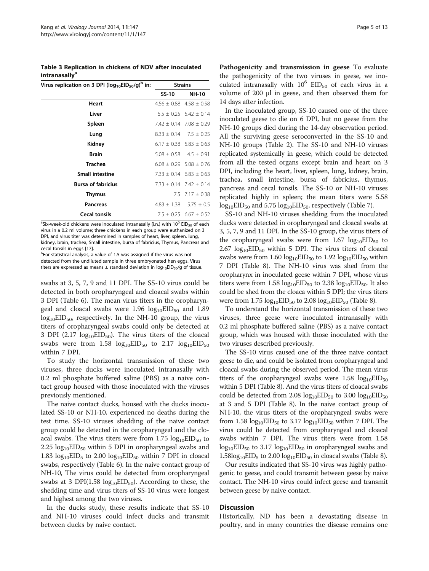<span id="page-4-0"></span>Table 3 Replication in chickens of NDV after inoculated **intranasally**<sup>a</sup>

| Virus replication on 3 DPI ( $log_{10}EID_{50}/q$ ) <sup>b</sup> in: | <b>Strains</b> |                                 |  |
|----------------------------------------------------------------------|----------------|---------------------------------|--|
|                                                                      | SS-10          | NH-10                           |  |
| Heart                                                                |                | $4.56 \pm 0.88$ $4.58 \pm 0.58$ |  |
| Liver                                                                |                | $5.5 \pm 0.25$ 5.42 $\pm$ 0.14  |  |
| Spleen                                                               |                | $7.42 \pm 0.14$ 7.08 $\pm$ 0.29 |  |
| Lung                                                                 |                | $8.33 \pm 0.14$ 7.5 $\pm$ 0.25  |  |
| Kidney                                                               |                | $6.17 \pm 0.38$ 5.83 $\pm$ 0.63 |  |
| <b>Brain</b>                                                         |                | $5.08 \pm 0.58$ 4.5 $\pm$ 0.91  |  |
| <b>Trachea</b>                                                       |                | $6.08 \pm 0.29$ 5.08 $\pm$ 0.76 |  |
| <b>Small intestine</b>                                               |                | $7.33 \pm 0.14$ 6.83 $\pm$ 0.63 |  |
| <b>Bursa of fabricius</b>                                            |                | $7.33 \pm 0.14$ $7.42 \pm 0.14$ |  |
| <b>Thymus</b>                                                        |                | 7.5 $7.17 \pm 0.38$             |  |
| Pancreas                                                             |                | $4.83 \pm 1.38$ 5.75 $\pm$ 0.5  |  |
| <b>Cecal tonsils</b>                                                 | .              | $7.5 \pm 0.25$ 6.67 $\pm$ 0.52  |  |

<sup>a</sup>Six-week-old chickens were inoculated intranasally (i.n.) with 10<sup>6</sup> EID<sub>50</sub> of each virus in a 0.2 ml volume; three chickens in each group were euthanized on 3 DPI, and virus titer was determined in samples of heart, liver, spleen, lung, kidney, brain, trachea, Small intestine, bursa of fabricius, Thymus, Pancreas and cecal tonsils in eggs [\[17](#page-11-0)].

<sup>b</sup>For statistical analysis, a value of 1.5 was assigned if the virus was not detected from the undiluted sample in three embryonated hen eggs. Virus titers are expressed as means  $\pm$  standard deviation in  $log_{10}EID_{50}/q$  of tissue.

swabs at 3, 5, 7, 9 and 11 DPI. The SS-10 virus could be detected in both oropharyngeal and cloacal swabs within 3 DPI (Table [6](#page-7-0)). The mean virus titers in the oropharyngeal and cloacal swabs were  $1.96 \log_{10} EID_{50}$  and  $1.89$  $log_{10}EID_{50}$ , respectively. In the NH-10 group, the virus titers of oropharyngeal swabs could only be detected at 3 DPI (2.17  $log_{10}EID_{50}$ ). The virus titers of the cloacal swabs were from  $1.58 \log_{10} EID_{50}$  to  $2.17 \log_{10} EID_{50}$ within 7 DPI.

To study the horizontal transmission of these two viruses, three ducks were inoculated intranasally with 0.2 ml phosphate buffered saline (PBS) as a naive contact group housed with those inoculated with the viruses previously mentioned.

The naive contact ducks, housed with the ducks inoculated SS-10 or NH-10, experienced no deaths during the test time. SS-10 viruses shedding of the naive contact group could be detected in the oropharyngeal and the cloacal swabs. The virus titers were from  $1.75 \log_{10} EID_{50}$  to 2.25  $log_{10}EID_{50}$  within 5 DPI in oropharyngeal swabs and 1.83  $log_{10}EID_5$  to 2.00  $log_{10}EID_{50}$  within 7 DPI in cloacal swabs, respectively (Table [6\)](#page-7-0). In the naive contact group of NH-10, The virus could be detected from oropharyngeal swabs at 3 DPI(1.58  $log_{10}EID_{50}$ ). According to these, the shedding time and virus titers of SS-10 virus were longest and highest among the two viruses.

In the ducks study, these results indicate that SS-10 and NH-10 viruses could infect ducks and transmit between ducks by naive contact.

Pathogenicity and transmission in geese To evaluate the pathogenicity of the two viruses in geese, we inoculated intranasally with  $10^6$  EID<sub>50</sub> of each virus in a volume of 200 μl in geese, and then observed them for 14 days after infection.

In the inoculated group, SS-10 caused one of the three inoculated geese to die on 6 DPI, but no geese from the NH-10 groups died during the 14-day observation period. All the surviving geese seroconverted in the SS-10 and NH-10 groups (Table [2\)](#page-3-0). The SS-10 and NH-10 viruses replicated systemically in geese, which could be detected from all the tested organs except brain and heart on 3 DPI, including the heart, liver, spleen, lung, kidney, brain, trachea, small intestine, bursa of fabricius, thymus, pancreas and cecal tonsils. The SS-10 or NH-10 viruses replicated highly in spleen; the mean titers were 5.58  $log_{10}EID_{50}$  and 5.75  $log_{10}EID_{50}$ , respectively (Table [7](#page-8-0)).

SS-10 and NH-10 viruses shedding from the inoculated ducks were detected in oropharyngeal and cloacal swabs at 3, 5, 7, 9 and 11 DPI. In the SS-10 group, the virus titers of the oropharyngeal swabs were from  $1.67 \log_{10} EID_{50}$  to 2.67  $log_{10}EID_{50}$  within 5 DPI. The virus titers of cloacal swabs were from  $1.60 \log_{10} EID_{50}$  to  $1.92 \log_{10} EID_{50}$  within 7 DPI (Table [8\)](#page-9-0). The NH-10 virus was shed from the oropharynx in inoculated geese within 7 DPI, whose virus titers were from  $1.58 \log_{10} EID_{50}$  to  $2.38 \log_{10} EID_{50}$ . It also could be shed from the cloaca within 5 DPI; the virus titers were from  $1.75 \log_{10} EID_{50}$  to  $2.08 \log_{10} EID_{50}$  (Table [8](#page-9-0)).

To understand the horizontal transmission of these two viruses, three geese were inoculated intranasally with 0.2 ml phosphate buffered saline (PBS) as a naive contact group, which was housed with those inoculated with the two viruses described previously.

The SS-10 virus caused one of the three naive contact geese to die, and could be isolated from oropharyngeal and cloacal swabs during the observed period. The mean virus titers of the oropharyngeal swabs were  $1.58 \log_{10} EID_{50}$ within 5 DPI (Table [8](#page-9-0)). And the virus titers of cloacal swabs could be detected from 2.08  $log_{10}EID_{50}$  to 3.00  $log_{10}EID_{50}$ at 3 and 5 DPI (Table [8](#page-9-0)). In the naive contact group of NH-10, the virus titers of the oropharyngeal swabs were from 1.58  $log_{10}EID_{50}$  to 3.17  $log_{10}EID_{50}$  within 7 DPI. The virus could be detected from oropharyngeal and cloacal swabs within 7 DPI. The virus titers were from 1.58  $log_{10}EID_{50}$  to 3.17  $log_{10}EID_{50}$  in oropharyngeal swabs and  $1.58\log_{10}EID_5$  to  $2.00\log_{10}EID_{50}$  in cloacal swabs (Table [8\)](#page-9-0).

Our results indicated that SS-10 virus was highly pathogenic to geese, and could transmit between geese by naive contact. The NH-10 virus could infect geese and transmit between geese by naive contact.

#### Discussion

Historically, ND has been a devastating disease in poultry, and in many countries the disease remains one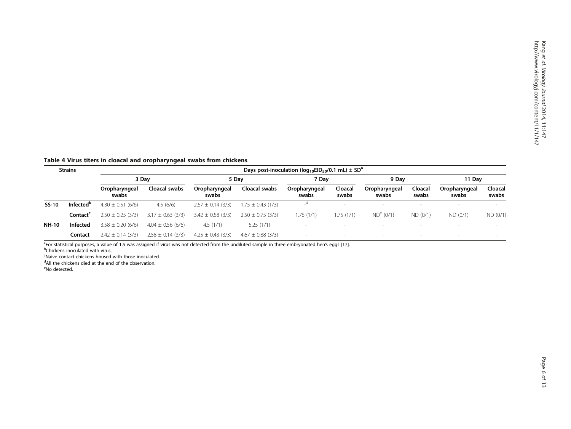<span id="page-5-0"></span>Table 4 Virus titers in cloacal and oropharyngeal swabs from chickens

| <b>Strains</b> |                       | Days post-inoculation ( $log_{10}EID_{50}/0.1$ mL) $\pm$ SD <sup>a</sup> |                       |                        |                       |                            |                  |                        |                  |                        |                  |  |
|----------------|-----------------------|--------------------------------------------------------------------------|-----------------------|------------------------|-----------------------|----------------------------|------------------|------------------------|------------------|------------------------|------------------|--|
|                |                       | 3 Dav                                                                    |                       | 5 Dav                  |                       | 7 Dav                      |                  | 9 Dav                  |                  | 11 Dav                 |                  |  |
|                |                       | Oropharyngeal<br>swabs                                                   | Cloacal swabs         | Oropharyngeal<br>swabs | Cloacal swabs         | Oropharyngeal<br>swabs     | Cloacal<br>swabs | Oropharyngeal<br>swabs | Cloacal<br>swabs | Oropharyngeal<br>swabs | Cloacal<br>swabs |  |
| SS-10          | Infected <sup>b</sup> | $4.30 \pm 0.51$ (6/6)                                                    | 4.5(6/6)              | $2.67 \pm 0.14$ (3/3)  | $1.75 \pm 0.43$ (1/3) | $\overline{\phantom{a}}^a$ | $\sim$           |                        |                  | $\sim$                 |                  |  |
|                | Contact <sup>c</sup>  | $2.50 \pm 0.25$ (3/3)                                                    | $3.17 \pm 0.63$ (3/3) | $3.42 \pm 0.58$ (3/3)  | $2.50 \pm 0.75$ (3/3) | 1.75(1/1)                  | 1.75(1/1)        | $ND^{e} (0/1)$         | ND (0/1)         | ND (0/1)               | ND (0/1)         |  |
| <b>NH-10</b>   | Infected              | $3.58 \pm 0.20$ (6/6)                                                    | $4.04 \pm 0.56$ (6/6) | 4.5(1/1)               | 5.25(1/1)             |                            |                  |                        |                  |                        |                  |  |
|                | Contact               | $2.42 \pm 0.14$ (3/3)                                                    | $2.58 \pm 0.14$ (3/3) | $4.25 \pm 0.43$ (3/3)  | $4.67 \pm 0.88$ (3/3) |                            | $\sim$           |                        |                  |                        |                  |  |

<sup>a</sup> For statistical purposes, a value of 1.5 was assigned if virus was not detected from the undiluted sample in three embryonated hen's eggs [[17](#page-11-0)].<br>PChickens inoculated with virus

Chickens inoculated with virus.

<sup>c</sup>Naive contact chickens housed with those inoculated.

<sup>d</sup>All the chickens died at the end of the observation.

<sup>e</sup>No detected.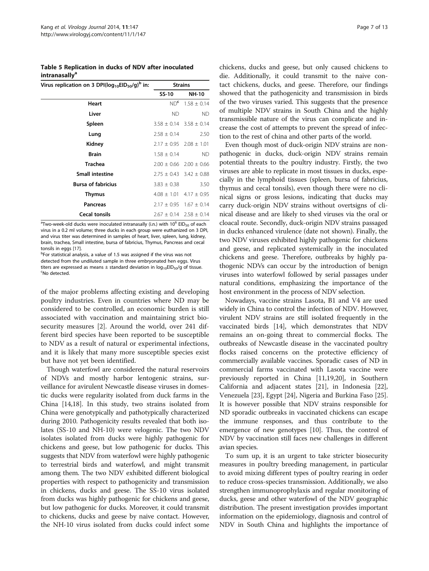<span id="page-6-0"></span>Table 5 Replication in ducks of NDV after inoculated **intranasally**<sup>a</sup>

| Virus replication on 3 DPI( $log_{10}EID_{50}/g$ ) <sup>b</sup> in: | <b>Strains</b>                                                                          |                                 |  |
|---------------------------------------------------------------------|-----------------------------------------------------------------------------------------|---------------------------------|--|
|                                                                     | SS-10                                                                                   | <b>NH-10</b>                    |  |
| Heart                                                               | ND <sup>c</sup>                                                                         | $1.58 \pm 0.14$                 |  |
| Liver                                                               | ND.                                                                                     | <b>ND</b>                       |  |
| Spleen                                                              |                                                                                         | $3.58 \pm 0.14$ $3.58 \pm 0.14$ |  |
| Lung                                                                | $2.58 \pm 0.14$                                                                         | 2.50                            |  |
| Kidney                                                              |                                                                                         | $2.17 \pm 0.95$ 2.08 $\pm$ 1.01 |  |
| <b>Brain</b>                                                        | $1.58 \pm 0.14$                                                                         | <b>ND</b>                       |  |
| <b>Trachea</b>                                                      |                                                                                         | $2.00 \pm 0.66$ 2.00 $\pm$ 0.66 |  |
| <b>Small intestine</b>                                              |                                                                                         | $2.75 \pm 0.43$ 3.42 $\pm$ 0.88 |  |
| <b>Bursa of fabricius</b>                                           | $3.83 \pm 0.38$                                                                         | 3.50                            |  |
| <b>Thymus</b>                                                       |                                                                                         | $4.08 \pm 1.01$ $4.17 \pm 0.95$ |  |
| <b>Pancreas</b>                                                     |                                                                                         | $2.17 \pm 0.95$ 1.67 $\pm$ 0.14 |  |
| <b>Cecal tonsils</b><br>$\sim$                                      | $\mathbf{u}$ , $\mathbf{u}$ , $\mathbf{u}$ , $\mathbf{v}$ , $\mathbf{v}$ , $\mathbf{v}$ | $2.67 \pm 0.14$ $2.58 \pm 0.14$ |  |

 $^{\rm a}$ Two-week-old ducks were inoculated intranasally (i.n.) with 10 $^{\rm 6}$  EID<sub>50</sub> of each virus in a 0.2 ml volume; three ducks in each group were euthanized on 3 DPI, and virus titer was determined in samples of heart, liver, spleen, lung, kidney, brain, trachea, Small intestine, bursa of fabricius, Thymus, Pancreas and cecal tonsils in eggs [\[17](#page-11-0)].

bFor statistical analysis, a value of 1.5 was assigned if the virus was not detected from the undiluted sample in three embryonated hen eggs. Virus titers are expressed as means  $\pm$  standard deviation in  $log_{10}EID_{50}/g$  of tissue. No detected.

of the major problems affecting existing and developing poultry industries. Even in countries where ND may be considered to be controlled, an economic burden is still associated with vaccination and maintaining strict biosecurity measures [\[2](#page-11-0)]. Around the world, over 241 different bird species have been reported to be susceptible to NDV as a result of natural or experimental infections, and it is likely that many more susceptible species exist but have not yet been identified.

Though waterfowl are considered the natural reservoirs of NDVs and mostly harbor lentogenic strains, surveillance for avirulent Newcastle disease viruses in domestic ducks were regularity isolated from duck farms in the China [\[14,18](#page-11-0)]. In this study, two strains isolated from China were genotypically and pathotypically characterized during 2010. Pathogenicity results revealed that both isolates (SS-10 and NH-10) were velogenic. The two NDV isolates isolated from ducks were highly pathogenic for chickens and geese, but low pathogenic for ducks. This suggests that NDV from waterfowl were highly pathogenic to terrestrial birds and waterfowl, and might transmit among them. The two NDV exhibited different biological properties with respect to pathogenicity and transmission in chickens, ducks and geese. The SS-10 virus isolated from ducks was highly pathogenic for chickens and geese, but low pathogenic for ducks. Moreover, it could transmit to chickens, ducks and geese by naive contact. However, the NH-10 virus isolated from ducks could infect some

chickens, ducks and geese, but only caused chickens to die. Additionally, it could transmit to the naive contact chickens, ducks, and geese. Therefore, our findings showed that the pathogenicity and transmission in birds of the two viruses varied. This suggests that the presence of multiple NDV strains in South China and the highly transmissible nature of the virus can complicate and increase the cost of attempts to prevent the spread of infection to the rest of china and other parts of the world.

Even though most of duck-origin NDV strains are nonpathogenic in ducks, duck-origin NDV strains remain potential threats to the poultry industry. Firstly, the two viruses are able to replicate in most tissues in ducks, especially in the lymphoid tissues (spleen, bursa of fabricius, thymus and cecal tonsils), even though there were no clinical signs or gross lesions, indicating that ducks may carry duck-origin NDV strains without overtsigns of clinical disease and are likely to shed viruses via the oral or cloacal route. Secondly, duck-origin NDV strains passaged in ducks enhanced virulence (date not shown). Finally, the two NDV viruses exhibited highly pathogenic for chickens and geese, and replicated systemically in the inoculated chickens and geese. Therefore, outbreaks by highly pathogenic NDVs can occur by the introduction of benign viruses into waterfowl followed by serial passages under natural conditions, emphasizing the importance of the host environment in the process of NDV selection.

Nowadays, vaccine strains Lasota, B1 and V4 are used widely in China to control the infection of NDV. However, virulent NDV strains are still isolated frequently in the vaccinated birds [[14](#page-11-0)], which demonstrates that NDV remains an on-going threat to commercial flocks. The outbreaks of Newcastle disease in the vaccinated poultry flocks raised concerns on the protective efficiency of commercially available vaccines. Sporadic cases of ND in commercial farms vaccinated with Lasota vaccine were previously reported in China [\[11,19,20](#page-11-0)], in Southern California and adjacent states [\[21\]](#page-11-0), in Indonesia [[22](#page-11-0)], Venezuela [[23](#page-11-0)], Egypt [\[24\]](#page-11-0), Nigeria and Burkina Faso [[25](#page-11-0)]. It is however possible that NDV strains responsible for ND sporadic outbreaks in vaccinated chickens can escape the immune responses, and thus contribute to the emergence of new genotypes [\[10\]](#page-11-0). Thus, the control of NDV by vaccination still faces new challenges in different avian species.

To sum up, it is an urgent to take stricter biosecurity measures in poultry breeding management, in particular to avoid mixing different types of poultry rearing in order to reduce cross-species transmission. Additionally, we also strengthen immunoprophylaxis and regular monitoring of ducks, geese and other waterfowl of the NDV geographic distribution. The present investigation provides important information on the epidemiology, diagnosis and control of NDV in South China and highlights the importance of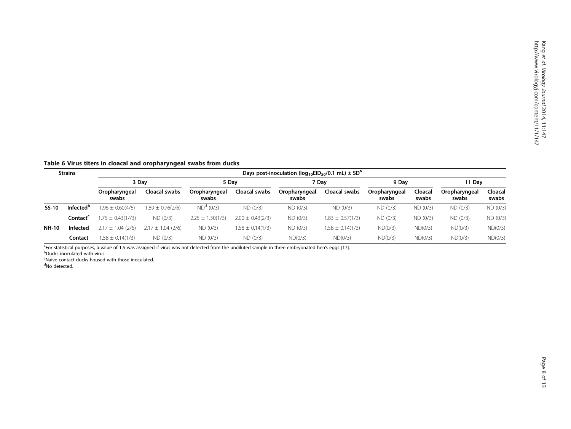<span id="page-7-0"></span>Table 6 Virus titers in cloacal and oropharyngeal swabs from ducks

| <b>Strains</b> |                              | Days post-inoculation ( $log_{10}EID_{50}/0.1$ mL) $\pm$ SD <sup>a</sup> |                       |                        |                      |                        |                      |                        |                  |                        |                  |
|----------------|------------------------------|--------------------------------------------------------------------------|-----------------------|------------------------|----------------------|------------------------|----------------------|------------------------|------------------|------------------------|------------------|
|                |                              | 3 Dav                                                                    |                       | 5 Dav                  |                      | 7 Dav                  |                      | 9 Dav                  |                  | 11 Dav                 |                  |
|                |                              | Oropharyngeal<br>swabs                                                   | Cloacal swabs         | Oropharyngeal<br>swabs | Cloacal swabs        | Oropharyngeal<br>swabs | Cloacal swabs        | Oropharyngeal<br>swabs | Cloacal<br>swabs | Oropharyngeal<br>swabs | Cloacal<br>swabs |
| SS-10          | <b>Infected</b> <sup>b</sup> | $1.96 \pm 0.60(4/6)$                                                     | $1.89 \pm 0.76(2/6)$  | $ND^{d}$ (0/3)         | ND (0/3)             | ND(0/3)                | ND (0/3)             | ND(0/3)                | ND (0/3)         | ND (0/3)               | ND (0/3)         |
|                | Contact <sup>c</sup>         | $1.75 \pm 0.43(1//3)$                                                    | ND(0/3)               | $2.25 \pm 1.30(1/3)$   | $2.00 \pm 0.43(2/3)$ | ND (0/3)               | $1.83 \pm 0.57(1/3)$ | ND (0/3)               | ND (0/3)         | ND (0/3)               | ND (0/3)         |
| <b>NH-10</b>   | Infected                     | $2.17 \pm 1.04$ (2/6)                                                    | $2.17 \pm 1.04$ (2/6) | ND (0/3)               | $1.58 \pm 0.14(1/3)$ | ND (0/3)               | $1.58 \pm 0.14(1/3)$ | ND(0/3)                | ND(0/3)          | ND(0/3)                | ND(0/3)          |
|                | Contact                      | $1.58 \pm 0.14(1/3)$                                                     | ND (0/3)              | ND (0/3)               | ND (0/3)             | ND(0/3)                | ND(0/3)              | ND(0/3)                | ND(0/3)          | ND(0/3)                | ND(0/3)          |

<sup>a</sup>For statistical purposes, a value of 1.5 was assigned if virus was not detected from the undiluted sample in three embryonated hen's eggs [[17](#page-11-0)].<br>PDucks ipoculated with virus

**b**Ducks inoculated with virus.

<sup>c</sup>Naive contact ducks housed with those inoculated.

<sup>d</sup>No detected.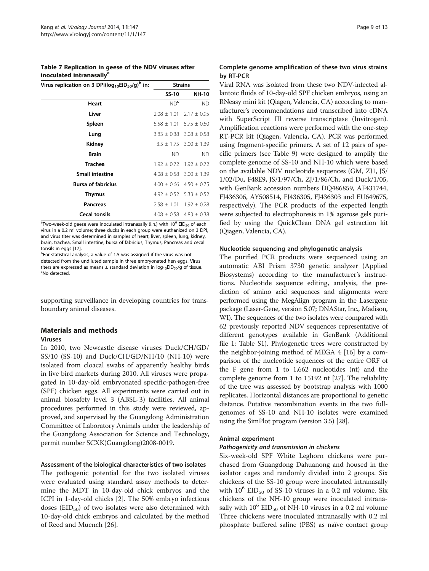<span id="page-8-0"></span>Table 7 Replication in geese of the NDV viruses after inoculated intranasally<sup>a</sup>

| Virus replication on 3 DPI( $log_{10}EID_{50}/g$ ) <sup>b</sup> in: |                 | <b>Strains</b>                  |
|---------------------------------------------------------------------|-----------------|---------------------------------|
|                                                                     | SS-10           | <b>NH-10</b>                    |
| Heart                                                               | ND <sup>c</sup> | <b>ND</b>                       |
| Liver                                                               | $2.08 \pm 1.01$ | $2.17 \pm 0.95$                 |
| Spleen                                                              |                 | $5.58 \pm 1.01$ 5.75 $\pm$ 0.50 |
| Lung                                                                |                 | $3.83 \pm 0.38$ 3.08 $\pm$ 0.58 |
| Kidney                                                              |                 | $3.5 \pm 1.75$ $3.00 \pm 1.39$  |
| <b>Brain</b>                                                        | <b>ND</b>       | <b>ND</b>                       |
| <b>Trachea</b>                                                      |                 | $1.92 \pm 0.72$ $1.92 \pm 0.72$ |
| <b>Small intestine</b>                                              |                 | $4.08 \pm 0.58$ 3.00 $\pm$ 1.39 |
| <b>Bursa of fabricius</b>                                           |                 | $4.00 \pm 0.66$ $4.50 \pm 0.75$ |
| <b>Thymus</b>                                                       |                 | $4.92 \pm 0.52$ 5.33 $\pm$ 0.52 |
| <b>Pancreas</b>                                                     |                 | $2.58 \pm 1.01$ 1.92 $\pm$ 0.28 |
| <b>Cecal tonsils</b>                                                |                 | $4.08 \pm 0.58$ $4.83 \pm 0.38$ |

 $^{\circ}$ Two-week-old geese were inoculated intranasally (i.n.) with 10 $^{\circ}$  EID<sub>50</sub> of each virus in a 0.2 ml volume; three ducks in each group were euthanized on 3 DPI, and virus titer was determined in samples of heart, liver, spleen, lung, kidney, brain, trachea, Small intestine, bursa of fabricius, Thymus, Pancreas and cecal tonsils in eggs [\[17](#page-11-0)].

bFor statistical analysis, a value of 1.5 was assigned if the virus was not detected from the undiluted sample in three embryonated hen eggs. Virus titers are expressed as means  $\pm$  standard deviation in  $log_{10}EID_{50}/g$  of tissue. No detected.

supporting surveillance in developing countries for transboundary animal diseases.

#### Materials and methods

#### Viruses

In 2010, two Newcastle disease viruses Duck/CH/GD/ SS/10 (SS-10) and Duck/CH/GD/NH/10 (NH-10) were isolated from cloacal swabs of apparently healthy birds in live bird markets during 2010. All viruses were propagated in 10-day-old embryonated specific-pathogen-free (SPF) chicken eggs. All experiments were carried out in animal biosafety level 3 (ABSL-3) facilities. All animal procedures performed in this study were reviewed, approved, and supervised by the Guangdong Administration Committee of Laboratory Animals under the leadership of the Guangdong Association for Science and Technology, permit number SCXK(Guangdong)2008-0019.

# Assessment of the biological characteristics of two isolates

The pathogenic potential for the two isolated viruses were evaluated using standard assay methods to determine the MDT in 10-day-old chick embryos and the ICPI in 1-day-old chicks [[2\]](#page-11-0). The 50% embryo infectious doses  $(EID_{50})$  of two isolates were also determined with 10-day-old chick embryos and calculated by the method of Reed and Muench [[26](#page-12-0)].

# Complete genome amplification of these two virus strains by RT-PCR

Viral RNA was isolated from these two NDV-infected allantoic fluids of 10-day-old SPF chicken embryos, using an RNeasy mini kit (Qiagen, Valencia, CA) according to manufacturer's recommendations and transcribed into cDNA with SuperScript III reverse transcriptase (Invitrogen). Amplification reactions were performed with the one-step RT-PCR kit (Qiagen, Valencia, CA). PCR was performed using fragment-specific primers. A set of 12 pairs of specific primers (see Table [9](#page-10-0)) were designed to amplify the complete genome of SS-10 and NH-10 which were based on the available NDV nucleotide sequences (GM, ZJ1, JS/ 1/02/Du, F48E9, JS/1/97/Ch, ZJ/1/86/Ch, and Duck/1/05, with GenBank accession numbers DQ486859, AF431744, FJ436306, AY508514, FJ436305, FJ436303 and EU649675, respectively). The PCR products of the expected length were subjected to electrophoresis in 1% agarose gels purified by using the QuickClean DNA gel extraction kit (Qiagen, Valencia, CA).

#### Nucleotide sequencing and phylogenetic analysis

The purified PCR products were sequenced using an automatic ABI Prism 3730 genetic analyzer (Applied Biosystems) according to the manufacturer's instructions. Nucleotide sequence editing, analysis, the prediction of amino acid sequences and alignments were performed using the MegAlign program in the Lasergene package (Laser-Gene, version 5.07; DNAStar, Inc., Madison, WI). The sequences of the two isolates were compared with 62 previously reported NDV sequences representative of different genotypes available in GenBank (Additional file [1:](#page-11-0) Table S1). Phylogenetic trees were constructed by the neighbor-joining method of MEGA 4 [\[16](#page-11-0)] by a comparison of the nucleotide sequences of the entire ORF of the F gene from 1 to 1,662 nucleotides (nt) and the complete genome from 1 to 15192 nt [\[27\]](#page-12-0). The reliability of the tree was assessed by bootstrap analysis with 1000 replicates. Horizontal distances are proportional to genetic distance. Putative recombination events in the two fullgenomes of SS-10 and NH-10 isolates were examined using the SimPlot program (version 3.5) [\[28\]](#page-12-0).

#### Animal experiment

#### Pathogenicity and transmission in chickens

Six-week-old SPF White Leghorn chickens were purchased from Guangdong Dahuanong and housed in the isolator cages and randomly divided into 2 groups. Six chickens of the SS-10 group were inoculated intranasally with  $10^6$  EID<sub>50</sub> of SS-10 viruses in a 0.2 ml volume. Six chickens of the NH-10 group were inoculated intranasally with  $10^6$  EID<sub>50</sub> of NH-10 viruses in a 0.2 ml volume Three chickens were inoculated intranasally with 0.2 ml phosphate buffered saline (PBS) as naïve contact group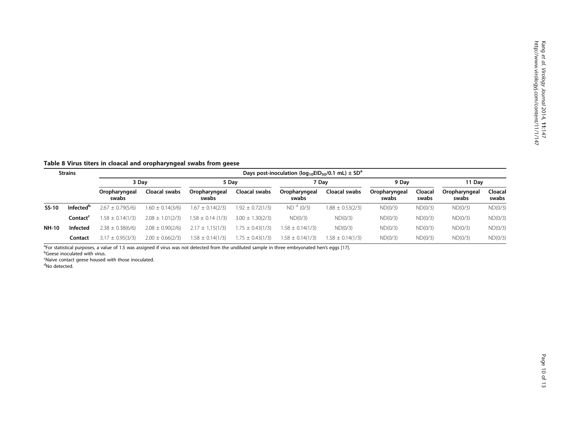<span id="page-9-0"></span>Table 8 Virus titers in cloacal and oropharyngeal swabs from geese

| <b>Strains</b> |                              | Days post-inoculation ( $log_{10}EID_{50}/0.1$ mL) $\pm$ SD <sup>a</sup> |                      |                        |                      |                        |                      |                        |                  |                        |                  |
|----------------|------------------------------|--------------------------------------------------------------------------|----------------------|------------------------|----------------------|------------------------|----------------------|------------------------|------------------|------------------------|------------------|
|                |                              | 3 Dav                                                                    |                      | 5 Dav                  |                      | 7 Dav                  |                      | 9 Dav                  |                  | 11 Dav                 |                  |
|                |                              | Oropharyngeal<br>swabs                                                   | Cloacal swabs        | Oropharyngeal<br>swabs | Cloacal swabs        | Oropharyngeal<br>swabs | Cloacal swabs        | Oropharyngeal<br>swabs | Cloacal<br>swabs | Oropharyngeal<br>swabs | Cloacal<br>swabs |
| SS-10          | <b>Infected</b> <sup>b</sup> | $2.67 \pm 0.79(5/6)$                                                     | $1.60 \pm 0.14(3/6)$ | $1.67 \pm 0.14(2/3)$   | $1.92 \pm 0.72(1/3)$ | ND <sup>d</sup> (0/3)  | $1.88 \pm 0.53(2/3)$ | ND(0/3)                | ND(0/3)          | ND(0/3)                | ND(0/3)          |
|                | Contact <sup>®</sup>         | $1.58 \pm 0.14(1/3)$                                                     | $2.08 \pm 1.01(2/3)$ | $1.58 \pm 0.14$ (1/3)  | $3.00 \pm 1.30(2/3)$ | ND(0/3)                | ND(0/3)              | ND(0/3)                | ND(0/3)          | ND(0/3)                | ND(0/3)          |
| <b>NH-10</b>   | Infected                     | $2.38 \pm 0.38(6/6)$                                                     | $2.08 \pm 0.90(2/6)$ | $2.17 \pm 1.15(1/3)$   | $1.75 \pm 0.43(1/3)$ | $1.58 \pm 0.14(1/3)$   | ND(0/3)              | ND(0/3)                | ND(0/3)          | ND(0/3)                | ND(0/3)          |
|                | Contact                      | $3.17 \pm 0.95(3/3)$                                                     | $2.00 \pm 0.66(2/3)$ | $1.58 \pm 0.14(1/3)$   | $1.75 \pm 0.43(1/3)$ | $.58 \pm 0.14(1/3)$    | $1.58 \pm 0.14(1/3)$ | ND(0/3)                | ND(0/3)          | ND(0/3)                | ND(0/3)          |

<sup>a</sup>For statistical purposes, a value of 1.5 was assigned if virus was not detected from the undiluted sample in three embryonated hen's eggs [[17](#page-11-0)].<br>PGeese inoculated with virus

**b**Geese inoculated with virus.

<sup>c</sup>Naive contact geese housed with those inoculated.<br><sup>d</sup>No detected.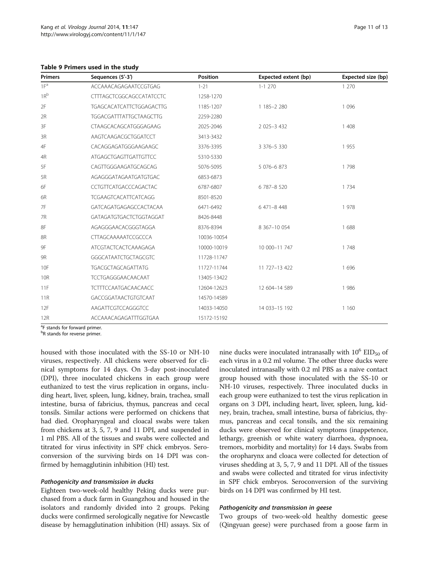<span id="page-10-0"></span>Table 9 Primers used in the study

| <b>Primers</b>  | Sequences (5'-3')               | Position    | Expected extent (bp) | Expected size (bp) |
|-----------------|---------------------------------|-------------|----------------------|--------------------|
| 1F <sup>a</sup> | ACCAAACAGAGAATCCGTGAG           | $1 - 21$    | $1 - 1$ 270          | 1 2 7 0            |
| $1R^b$          | <b>CTTTAGCTCGGCAGCCATATCCTC</b> | 1258-1270   |                      |                    |
| 2F              | <b>TGAGCACATCATTCTGGAGACTTG</b> | 1185-1207   | 1 185-2 280          | 1 0 9 6            |
| 2R              | <b>TGGACGATTTATTGCTAAGCTTG</b>  | 2259-2280   |                      |                    |
| 3F              | CTAAGCACAGCATGGGAGAAG           | 2025-2046   | 2 025-3 432          | 1 408              |
| 3R              | AAGTCAAGACGCTGGATCCT            | 3413-3432   |                      |                    |
| 4F              | CACAGGAGATGGGAAGAAGC            | 3376-3395   | 3 376-5 330          | 1955               |
| 4R              | <b>ATGAGCTGAGTTGATTGTTCC</b>    | 5310-5330   |                      |                    |
| 5F              | CAGTTGGGAAGATGCAGCAG            | 5076-5095   | 5 076-6 873          | 1798               |
| 5R              | AGAGGGATAGAATGATGTGAC           | 6853-6873   |                      |                    |
| 6F              | CCTGTTCATGACCCAGACTAC           | 6787-6807   | 6 787-8 520          | 1 7 3 4            |
| 6R              | <b>TCGAAGTCACATTCATCAGG</b>     | 8501-8520   |                      |                    |
| 7F              | GATCAGATGAGAGCCACTACAA          | 6471-6492   | 6 471-8 448          | 1978               |
| 7R              | GATAGATGTGACTCTGGTAGGAT         | 8426-8448   |                      |                    |
| 8F              | AGAGGGAACACGGGTAGGA             | 8376-8394   | 8 367-10 054         | 1688               |
| 8R              | CTTAGCAAAAATCCGCCCA             | 10036-10054 |                      |                    |
| 9F              | ATCGTACTCACTCAAAGAGA            | 10000-10019 | 10 000-11 747        | 1 7 4 8            |
| 9R              | <b>GGGCATAATCTGCTAGCGTC</b>     | 11728-11747 |                      |                    |
| 10F             | TGACGCTAGCAGATTATG              | 11727-11744 | 11 727-13 422        | 1 6 9 6            |
| <b>10R</b>      | TCCTGAGGGAACAACAAT              | 13405-13422 |                      |                    |
| 11F             | <b>TCTTTCCAATGACAACAACC</b>     | 12604-12623 | 12 604-14 589        | 1986               |
| 11R             | GACCGGATAACTGTGTCAAT            | 14570-14589 |                      |                    |
| 12F             | AAGATTCGTCCAGGGTCC              | 14033-14050 | 14 033-15 192        | 1 1 6 0            |
| 12R             | ACCAAACAGAGATTTGGTGAA           | 15172-15192 |                      |                    |

<sup>a</sup>F stands for forward primer.

<sup>b</sup>R stands for reverse primer.

housed with those inoculated with the SS-10 or NH-10 viruses, respectively. All chickens were observed for clinical symptoms for 14 days. On 3-day post-inoculated (DPI), three inoculated chickens in each group were euthanized to test the virus replication in organs, including heart, liver, spleen, lung, kidney, brain, trachea, small intestine, bursa of fabricius, thymus, pancreas and cecal tonsils. Similar actions were performed on chickens that had died. Oropharyngeal and cloacal swabs were taken from chickens at 3, 5, 7, 9 and 11 DPI, and suspended in 1 ml PBS. All of the tissues and swabs were collected and titrated for virus infectivity in SPF chick embryos. Seroconversion of the surviving birds on 14 DPI was confirmed by hemagglutinin inhibition (HI) test.

#### Pathogenicity and transmission in ducks

Eighteen two-week-old healthy Peking ducks were purchased from a duck farm in Guangzhou and housed in the isolators and randomly divided into 2 groups. Peking ducks were confirmed serologically negative for Newcastle disease by hemagglutination inhibition (HI) assays. Six of

nine ducks were inoculated intranasally with  $10^6$  EID<sub>50</sub> of each virus in a 0.2 ml volume. The other three ducks were inoculated intranasally with 0.2 ml PBS as a naive contact group housed with those inoculated with the SS-10 or NH-10 viruses, respectively. Three inoculated ducks in each group were euthanized to test the virus replication in organs on 3 DPI, including heart, liver, spleen, lung, kidney, brain, trachea, small intestine, bursa of fabricius, thymus, pancreas and cecal tonsils, and the six remaining ducks were observed for clinical symptoms (inappetence, lethargy, greenish or white watery diarrhoea, dyspnoea, tremors, morbidity and mortality) for 14 days. Swabs from the oropharynx and cloaca were collected for detection of viruses shedding at 3, 5, 7, 9 and 11 DPI. All of the tissues and swabs were collected and titrated for virus infectivity in SPF chick embryos. Seroconversion of the surviving birds on 14 DPI was confirmed by HI test.

#### Pathogenicity and transmission in geese

Two groups of two-week-old healthy domestic geese (Qingyuan geese) were purchased from a goose farm in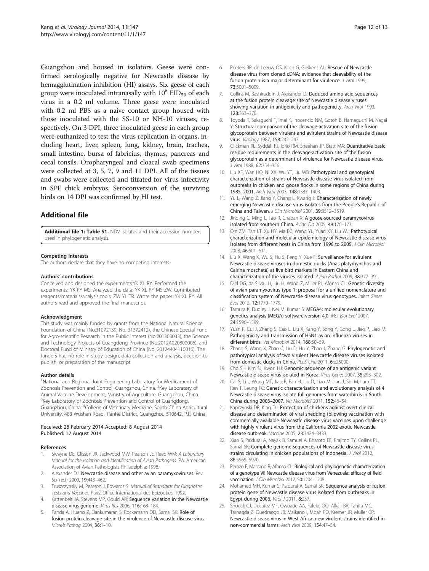<span id="page-11-0"></span>Guangzhou and housed in isolators. Geese were confirmed serologically negative for Newcastle disease by hemagglutination inhibition (HI) assays. Six geese of each group were inoculated intranasally with  $10^6$  EID<sub>50</sub> of each virus in a 0.2 ml volume. Three geese were inoculated with 0.2 ml PBS as a naive contact group housed with those inoculated with the SS-10 or NH-10 viruses, respectively. On 3 DPI, three inoculated geese in each group were euthanized to test the virus replication in organs, including heart, liver, spleen, lung, kidney, brain, trachea, small intestine, bursa of fabricius, thymus, pancreas and cecal tonsils. Oropharyngeal and cloacal swab specimens were collected at 3, 5, 7, 9 and 11 DPI. All of the tissues and swabs were collected and titrated for virus infectivity in SPF chick embryos. Seroconversion of the surviving birds on 14 DPI was confirmed by HI test.

# Additional file

[Additional file 1: Table S1.](http://www.biomedcentral.com/content/supplementary/1743-422X-11-147-S1.doc) NDV isolates and their accession numbers used in phylogenetic analysis.

#### Competing interests

The authors declare that they have no competing interests.

#### Authors' contributions

Conceived and designed the experiments:YK XL RY. Performed the experiments: YK RY MS. Analyzed the data: YK XL RY MS ZW. Contributed reagents/materials/analysis tools: ZW YL TR. Wrote the paper: YK XL RY. All authors read and approved the final manuscript.

#### Acknowledgment

This study was mainly funded by grants from the National Natural Science Foundation of China (No.31072139, No. 31372412), the Chinese Special Fund for Agro-scientific Research in the Public Interest (No.201303033), the Science and Technology Projects of Guangdong Province (No.2012A020800006), and Doctoral Fund of Ministry of Education of China (No. 20124404110016). The funders had no role in study design, data collection and analysis, decision to publish, or preparation of the manuscript.

#### Author details

<sup>1</sup>National and Regional Joint Engineering Laboratory for Medicament of Zoonosis Prevention and Control, Guangzhou, China. <sup>2</sup>Key Laboratory of Animal Vaccine Development, Ministry of Agriculture, Guangzhou, China. <sup>3</sup>Key Laboratory of Zoonosis Prevention and Control of Guangdong, Guangzhou, China. <sup>4</sup> College of Veterinary Medicine, South China Agricultural University, 483 Wushan Road, Tianhe District, Guangzhou 510642, P.R. China.

#### Received: 28 February 2014 Accepted: 8 August 2014 Published: 12 August 2014

#### References

- Swayne DE, Glisson JR, Jackwood MW, Pearson JE, Reed WM: A Laboratory Manual for the Isolation and Identification of Avian Pathogens. PA: American Association of Avian Pathologists Philadelphia; 1998.
- 2. Alexander DJ: Newcastle disease and other avian paramyxoviruses. Rev Sci Tech 2000, 19:443–462.
- 3. Truszczynsky M, Pearson J, Edwards S: Manual of Standards for Diagnostic Tests and Vaccines. Paris: Office International des Epizooties; 1992.
- 4. Kattenbelt JA, Stevens MP, Gould AR: Sequence variation in the Newcastle disease virus genome. Virus Res 2006, 116:168–184.
- 5. Panda A, Huang Z, Elankumaran S, Rockemann DD, Samal SK: Role of fusion protein cleavage site in the virulence of Newcastle disease virus. Microb Pathog 2004, 36:1–10.
- 6. Peeters BP, de Leeuw OS, Koch G, Gielkens AL: Rescue of Newcastle disease virus from cloned cDNA: evidence that cleavability of the fusion protein is a major determinant for virulence. J Virol 1999, 73:5001–5009.
- Collins M, Bashiruddin J, Alexander D: Deduced amino acid sequences at the fusion protein cleavage site of Newcastle disease viruses showing variation in antigenicity and pathogenicity. Arch Virol 1993, 128:363–370.
- 8. Toyoda T, Sakaguchi T, Imai K, Inocencio NM, Gotoh B, Hamaguchi M, Nagai Y: Structural comparison of the cleavage-activation site of the fusion glycoprotein between virulent and avirulent strains of Newcastle disease virus. Virology 1987, 158:242–247.
- 9. Glickman RL, Syddall RJ, Iorio RM, Sheehan JP, Bratt MA: Quantitative basic residue requirements in the cleavage-activation site of the fusion glycoprotein as a determinant of virulence for Newcastle disease virus. J Virol 1988, 62:354–356.
- 10. Liu XF, Wan HQ, Ni XX, Wu YT, Liu WB: Pathotypical and genotypical characterization of strains of Newcastle disease virus isolated from outbreaks in chicken and goose flocks in some regions of China during 1985–2001. Arch Virol 2003, 148:1387–1403.
- 11. Yu L, Wang Z, Jiang Y, Chang L, Kwang J: Characterization of newly emerging Newcastle disease virus isolates from the People's Republic of China and Taiwan. J Clin Microbiol 2001, 39:3512–3519.
- 12. Jinding C, Ming L, Tao R, Chaoan X: A goose-sourced paramyxovirus isolated from southern China. Avian Dis 2005, 49:170–173.
- 13. Qin ZM, Tan LT, Xu HY, Ma BC, Wang YL, Yuan XY, Liu WJ: Pathotypical characterization and molecular epidemiology of Newcastle disease virus isolates from different hosts in China from 1996 to 2005. J Clin Microbiol 2008, 46:601–611.
- 14. Liu X, Wang X, Wu S, Hu S, Peng Y, Xue F: Surveillance for avirulent Newcastle disease viruses in domestic ducks (Anas platyrhynchos and Cairina moschata) at live bird markets in Eastern China and characterization of the viruses isolated. Avian Pathol 2009, 38:377–391.
- 15. Diel DG, da Silva LH, Liu H, Wang Z, Miller PJ, Afonso CL: Genetic diversity of avian paramyxovirus type 1: proposal for a unified nomenclature and classification system of Newcastle disease virus genotypes. Infect Genet Evol 2012, 12:1770–1779.
- 16. Tamura K, Dudley J, Nei M, Kumar S: MEGA4: molecular evolutionary genetics analysis (MEGA) software version 4.0. Mol Biol Evol 2007, 24:1596–1599.
- 17. Yuan R, Cui J, Zhang S, Cao L, Liu X, Kang Y, Song Y, Gong L, Jiao P, Liao M: Pathogenicity and transmission of H5N1 avian influenza viruses in different birds. Vet Microbiol 2014, 168:50–59.
- 18. Zhang S, Wang X, Zhao C, Liu D, Hu Y, Zhao J, Zhang G: Phylogenetic and pathotypical analysis of two virulent Newcastle disease viruses isolated from domestic ducks in China. PLoS One 2011, 6:e25000.
- 19. Cho SH, Kim SJ, Kwon HJ: Genomic sequence of an antigenic variant Newcastle disease virus isolated in Korea. Virus Genes 2007, 35:293–302.
- 20. Cai S, Li J, Wong MT, Jiao P, Fan H, Liu D, Liao M, Jian J, Shi M, Lam TT, Ren T, Leung FC: Genetic characterization and evolutionary analysis of 4 Newcastle disease virus isolate full genomes from waterbirds in South China during 2003–2007. Vet Microbiol 2011, 152:46–54.
- 21. Kapczynski DR, King DJ: Protection of chickens against overt clinical disease and determination of viral shedding following vaccination with commercially available Newcastle disease virus vaccines upon challenge with highly virulent virus from the California 2002 exotic Newcastle disease outbreak. Vaccine 2005, 23:3424–3433.
- 22. Xiao S, Paldurai A, Nayak B, Samuel A, Bharoto EE, Prajitno TY, Collins PL, Samal SK: Complete genome sequences of Newcastle disease virus strains circulating in chicken populations of Indonesia. J Virol 2012, 86:5969–5970.
- 23. Perozo F, Marcano R, Afonso CL: Biological and phylogenetic characterization of a genotype VII Newcastle disease virus from Venezuela: efficacy of field vaccination. J Clin Microbiol 2012, 50:1204-1208.
- 24. Mohamed MH, Kumar S, Paldurai A, Samal SK: Sequence analysis of fusion protein gene of Newcastle disease virus isolated from outbreaks in Egypt during 2006. Virol J 2011, 8:237.
- 25. Snoeck CJ, Ducatez MF, Owoade AA, Faleke OO, Alkali BR, Tahita MC, Tarnagda Z, Ouedraogo JB, Maikano I, Mbah PO, Kremer JR, Muller CP: Newcastle disease virus in West Africa: new virulent strains identified in non-commercial farms. Arch Virol 2009, 154:47–54.